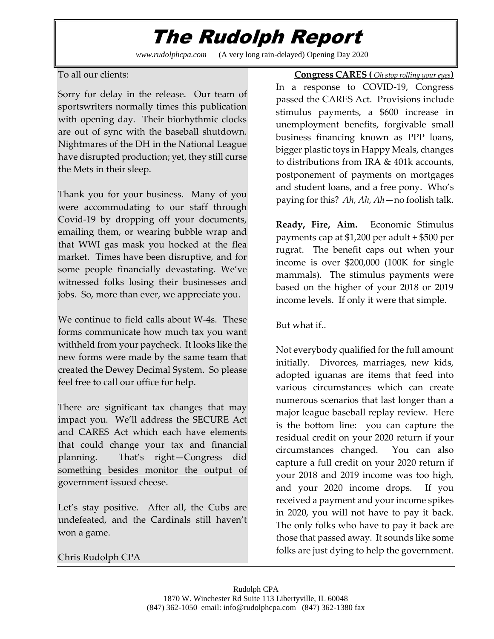## The Rudolph Report

*www.rudolphcpa.com* (A very long rain-delayed) Opening Day 2020

To all our clients:

Sorry for delay in the release. Our team of sportswriters normally times this publication with opening day. Their biorhythmic clocks are out of sync with the baseball shutdown. Nightmares of the DH in the National League have disrupted production; yet, they still curse the Mets in their sleep.

Thank you for your business. Many of you were accommodating to our staff through Covid-19 by dropping off your documents, emailing them, or wearing bubble wrap and that WWI gas mask you hocked at the flea market. Times have been disruptive, and for some people financially devastating. We've witnessed folks losing their businesses and jobs. So, more than ever, we appreciate you.

We continue to field calls about W-4s. These forms communicate how much tax you want withheld from your paycheck. It looks like the new forms were made by the same team that created the Dewey Decimal System. So please feel free to call our office for help.

There are significant tax changes that may impact you. We'll address the SECURE Act and CARES Act which each have elements that could change your tax and financial planning. That's right—Congress did something besides monitor the output of government issued cheese.

Let's stay positive. After all, the Cubs are undefeated, and the Cardinals still haven't won a game.

 **Congress CARES (** *Oh stop rolling your eyes***)** In a response to COVID-19, Congress passed the CARES Act. Provisions include stimulus payments, a \$600 increase in unemployment benefits, forgivable small business financing known as PPP loans, bigger plastic toys in Happy Meals, changes to distributions from IRA & 401k accounts, postponement of payments on mortgages and student loans, and a free pony. Who's paying for this? *Ah, Ah, Ah*—no foolish talk.

**Ready, Fire, Aim.** Economic Stimulus payments cap at \$1,200 per adult + \$500 per rugrat. The benefit caps out when your income is over \$200,000 (100K for single mammals). The stimulus payments were based on the higher of your 2018 or 2019 income levels. If only it were that simple.

But what if..

Not everybody qualified for the full amount initially. Divorces, marriages, new kids, adopted iguanas are items that feed into various circumstances which can create numerous scenarios that last longer than a major league baseball replay review. Here is the bottom line: you can capture the residual credit on your 2020 return if your circumstances changed. You can also capture a full credit on your 2020 return if your 2018 and 2019 income was too high, and your 2020 income drops. If you received a payment and your income spikes in 2020, you will not have to pay it back. The only folks who have to pay it back are those that passed away. It sounds like some folks are just dying to help the government.

Chris Rudolph CPA